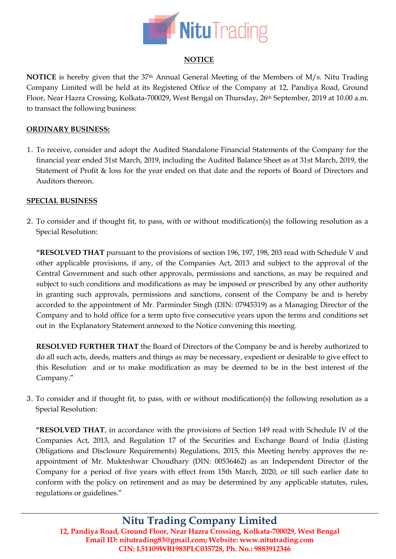

## **NOTICE**

**NOTICE** is hereby given that the 37th Annual General Meeting of the Members of M/s. Nitu Trading Company Limited will be held at its Registered Office of the Company at 12, Pandiya Road, Ground Floor, Near Hazra Crossing, Kolkata-700029, West Bengal on Thursday, 26<sup>th</sup> September, 2019 at 10.00 a.m. to transact the following business:

## **ORDINARY BUSINESS:**

1. To receive, consider and adopt the Audited Standalone Financial Statements of the Company for the financial year ended 31st March, 2019, including the Audited Balance Sheet as at 31st March, 2019, the Statement of Profit & loss for the year ended on that date and the reports of Board of Directors and Auditors thereon.

## **SPECIAL BUSINESS**

2. To consider and if thought fit, to pass, with or without modification(s) the following resolution as a Special Resolution:

**"RESOLVED THAT** pursuant to the provisions of section 196, 197, 198, 203 read with Schedule V and other applicable provisions, if any, of the Companies Act, 2013 and subject to the approval of the Central Government and such other approvals, permissions and sanctions, as may be required and subject to such conditions and modifications as may be imposed or prescribed by any other authority in granting such approvals, permissions and sanctions, consent of the Company be and is hereby accorded to the appointment of Mr. Parminder Singh (DIN: [07945319\)](http://www.mca.gov.in/mcafoportal/companyLLPMasterData.do) as a Managing Director of the Company and to hold office for a term upto five consecutive years upon the terms and conditions set out in the Explanatory Statement annexed to the Notice convening this meeting.

**RESOLVED FURTHER THAT** the Board of Directors of the Company be and is hereby authorized to do all such acts, deeds, matters and things as may be necessary, expedient or desirable to give effect to this Resolution and or to make modification as may be deemed to be in the best interest of the Company."

3. To consider and if thought fit, to pass, with or without modification(s) the following resolution as a Special Resolution:

**"RESOLVED THAT**, in accordance with the provisions of Section 149 read with Schedule IV of the Companies Act, 2013, and Regulation 17 of the Securities and Exchange Board of India (Listing Obligations and Disclosure Requirements) Regulations, 2015, this Meeting hereby approves the reappointment of Mr. Mukteshwar Choudhary (DIN: [00536462\)](http://www.mca.gov.in/mcafoportal/companyLLPMasterData.do) as an Independent Director of the Company for a period of five years with effect from 15th March, 2020, or till such earlier date to conform with the policy on retirement and as may be determined by any applicable statutes, rules, regulations or guidelines."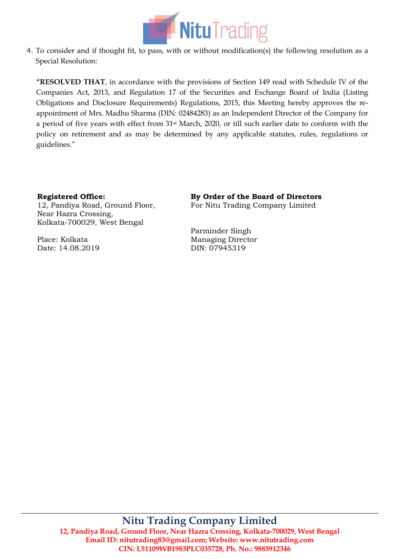

4. To consider and if thought fit, to pass, with or without modification(s) the following resolution as a Special Resolution:

**"RESOLVED THAT**, in accordance with the provisions of Section 149 read with Schedule IV of the Companies Act, 2013, and Regulation 17 of the Securities and Exchange Board of India (Listing Obligations and Disclosure Requirements) Regulations, 2015, this Meeting hereby approves the reappointment of Mrs. Madhu Sharma (DIN: [02484283\)](http://www.mca.gov.in/mcafoportal/companyLLPMasterData.do) as an Independent Director of the Company for a period of five years with effect from 31st March, 2020, or till such earlier date to conform with the policy on retirement and as may be determined by any applicable statutes, rules, regulations or guidelines."

# **Registered Office:**

12, Pandiya Road, Ground Floor, Near Hazra Crossing, Kolkata-700029, West Bengal

Place: Kolkata Date: 14.08.2019 **By Order of the Board of Directors** For Nitu Trading Company Limited

Parminder Singh Managing Director DIN: [07945319](http://www.mca.gov.in/mcafoportal/companyLLPMasterData.do)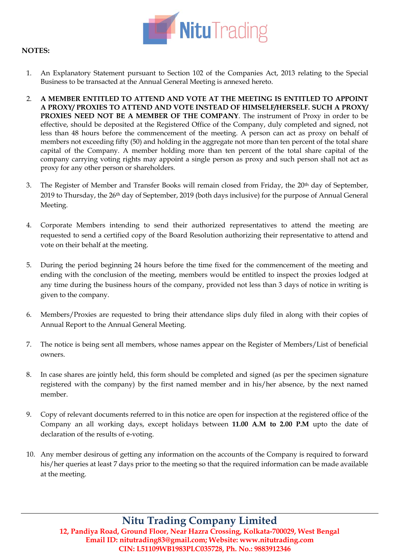

## **NOTES:**

- 1. An Explanatory Statement pursuant to Section 102 of the Companies Act, 2013 relating to the Special Business to be transacted at the Annual General Meeting is annexed hereto.
- 2. **A MEMBER ENTITLED TO ATTEND AND VOTE AT THE MEETING IS ENTITLED TO APPOINT A PROXY/ PROXIES TO ATTEND AND VOTE INSTEAD OF HIMSELF/HERSELF. SUCH A PROXY/ PROXIES NEED NOT BE A MEMBER OF THE COMPANY**. The instrument of Proxy in order to be effective, should be deposited at the Registered Office of the Company, duly completed and signed, not less than 48 hours before the commencement of the meeting. A person can act as proxy on behalf of members not exceeding fifty (50) and holding in the aggregate not more than ten percent of the total share capital of the Company. A member holding more than ten percent of the total share capital of the company carrying voting rights may appoint a single person as proxy and such person shall not act as proxy for any other person or shareholders.
- 3. The Register of Member and Transfer Books will remain closed from Friday, the 20th day of September, 2019 to Thursday, the 26th day of September, 2019 (both days inclusive) for the purpose of Annual General Meeting.
- 4. Corporate Members intending to send their authorized representatives to attend the meeting are requested to send a certified copy of the Board Resolution authorizing their representative to attend and vote on their behalf at the meeting.
- 5. During the period beginning 24 hours before the time fixed for the commencement of the meeting and ending with the conclusion of the meeting, members would be entitled to inspect the proxies lodged at any time during the business hours of the company, provided not less than 3 days of notice in writing is given to the company.
- 6. Members/Proxies are requested to bring their attendance slips duly filed in along with their copies of Annual Report to the Annual General Meeting.
- 7. The notice is being sent all members, whose names appear on the Register of Members/List of beneficial owners.
- 8. In case shares are jointly held, this form should be completed and signed (as per the specimen signature registered with the company) by the first named member and in his/her absence, by the next named member.
- 9. Copy of relevant documents referred to in this notice are open for inspection at the registered office of the Company an all working days, except holidays between **11.00 A.M to 2.00 P.M** upto the date of declaration of the results of e-voting.
- 10. Any member desirous of getting any information on the accounts of the Company is required to forward his/her queries at least 7 days prior to the meeting so that the required information can be made available at the meeting.

# **Nitu Trading Company Limited**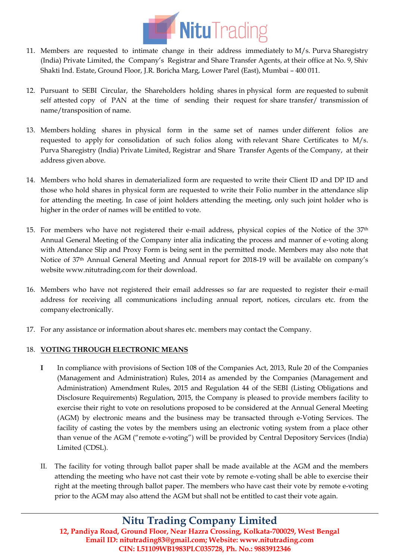

- 11. Members are requested to intimate change in their address immediately to M/s. Purva Sharegistry (India) Private Limited, the Company's Registrar and Share Transfer Agents, at their office at No. 9, Shiv Shakti Ind. Estate, Ground Floor, J.R. Boricha Marg, Lower Parel (East), Mumbai – 400 011.
- 12. Pursuant to SEBI Circular, the Shareholders holding shares in physical form are requested to submit self attested copy of PAN at the time of sending their request for share transfer/ transmission of name/transposition of name.
- 13. Members holding shares in physical form in the same set of names under different folios are requested to apply for consolidation of such folios along with relevant Share Certificates to M/s. Purva Sharegistry (India) Private Limited, Registrar and Share Transfer Agents of the Company, at their address given above.
- 14. Members who hold shares in dematerialized form are requested to write their Client ID and DP ID and those who hold shares in physical form are requested to write their Folio number in the attendance slip for attending the meeting. In case of joint holders attending the meeting, only such joint holder who is higher in the order of names will be entitled to vote.
- 15. For members who have not registered their e‐mail address, physical copies of the Notice of the 37th Annual General Meeting of the Company inter alia indicating the process and manner of e‐voting along with Attendance Slip and Proxy Form is being sent in the permitted mode. Members may also note that Notice of 37th Annual General Meeting and Annual report for 2018-19 will be available on company's website [www.nitutrading.com](http://www.nitutrading.com/) for their download.
- 16. Members who have not registered their email addresses so far are requested to register their e‐mail address for receiving all communications including annual report, notices, circulars etc. from the company electronically.
- 17. For any assistance or information about shares etc. members may contact the Company.

## 18. **VOTING THROUGH ELECTRONIC MEANS**

- **I** In compliance with provisions of Section 108 of the Companies Act, 2013, Rule 20 of the Companies (Management and Administration) Rules, 2014 as amended by the Companies (Management and Administration) Amendment Rules, 2015 and Regulation 44 of the SEBI (Listing Obligations and Disclosure Requirements) Regulation, 2015, the Company is pleased to provide members facility to exercise their right to vote on resolutions proposed to be considered at the Annual General Meeting (AGM) by electronic means and the business may be transacted through e-Voting Services. The facility of casting the votes by the members using an electronic voting system from a place other than venue of the AGM ("remote e-voting") will be provided by Central Depository Services (India) Limited (CDSL).
- II. The facility for voting through ballot paper shall be made available at the AGM and the members attending the meeting who have not cast their vote by remote e-voting shall be able to exercise their right at the meeting through ballot paper. The members who have cast their vote by remote e-voting prior to the AGM may also attend the AGM but shall not be entitled to cast their vote again.

# **Nitu Trading Company Limited**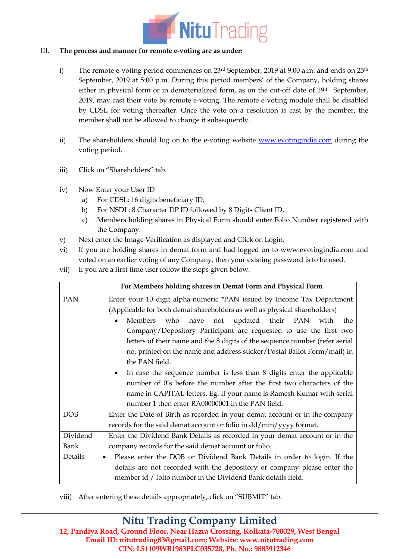

### III. **The process and manner for remote e-voting are as under:**

- i) The remote e-voting period commences on  $23<sup>rd</sup>$  September, 2019 at 9:00 a.m. and ends on  $25<sup>th</sup>$ September, 2019 at 5:00 p.m. During this period members' of the Company, holding shares either in physical form or in dematerialized form, as on the cut-off date of 19th September, 2019, may cast their vote by remote e-voting. The remote e-voting module shall be disabled by CDSL for voting thereafter. Once the vote on a resolution is cast by the member, the member shall not be allowed to change it subsequently.
- ii) The shareholders should log on to the e-voting website [www.evotingindia.com](http://www.evotingindia.com/) during the voting period.
- iii) Click on "Shareholders" tab.
- iv) Now Enter your User ID
	- a) For CDSL: 16 digits beneficiary ID,
	- b) For NSDL: 8 Character DP ID followed by 8 Digits Client ID,
	- c) Members holding shares in Physical Form should enter Folio Number registered with the Company.
- v) Next enter the Image Verification as displayed and Click on Login.
- vi) If you are holding shares in demat form and had logged on to [www.evotingindia.com](http://www.evotingindia.com/) and voted on an earlier voting of any Company, then your existing password is to be used.
- vii) If you are a first time user follow the steps given below:

|          | For Members holding shares in Demat Form and Physical Form                  |
|----------|-----------------------------------------------------------------------------|
| PAN      | Enter your 10 digit alpha-numeric *PAN issued by Income Tax Department      |
|          | (Applicable for both demat shareholders as well as physical shareholders)   |
|          | Members who have<br>not updated their PAN with<br>the                       |
|          | Company/Depository Participant are requested to use the first two           |
|          | letters of their name and the 8 digits of the sequence number (refer serial |
|          | no. printed on the name and address sticker/Postal Ballot Form/mail) in     |
|          | the PAN field.                                                              |
|          | In case the sequence number is less than 8 digits enter the applicable      |
|          | number of 0's before the number after the first two characters of the       |
|          | name in CAPITAL letters. Eg. If your name is Ramesh Kumar with serial       |
|          | number 1 then enter RA00000001 in the PAN field.                            |
| DOB      | Enter the Date of Birth as recorded in your demat account or in the company |
|          | records for the said demat account or folio in dd/mm/yyyy format.           |
| Dividend | Enter the Dividend Bank Details as recorded in your demat account or in the |
| Bank     | company records for the said demat account or folio.                        |
| Details  | Please enter the DOB or Dividend Bank Details in order to login. If the     |
|          | details are not recorded with the depository or company please enter the    |
|          | member id / folio number in the Dividend Bank details field.                |

viii) After entering these details appropriately, click on "SUBMIT" tab.

# **Nitu Trading Company Limited**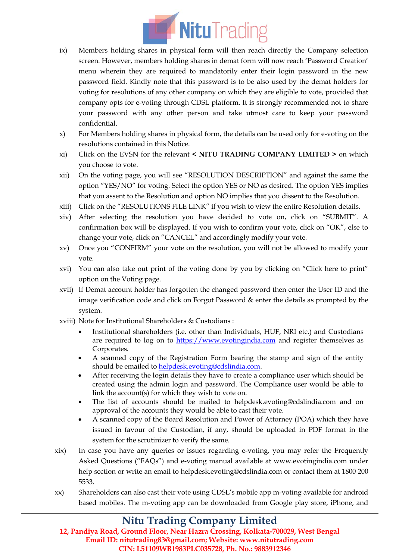

- ix) Members holding shares in physical form will then reach directly the Company selection screen. However, members holding shares in demat form will now reach 'Password Creation' menu wherein they are required to mandatorily enter their login password in the new password field. Kindly note that this password is to be also used by the demat holders for voting for resolutions of any other company on which they are eligible to vote, provided that company opts for e-voting through CDSL platform. It is strongly recommended not to share your password with any other person and take utmost care to keep your password confidential.
- x) For Members holding shares in physical form, the details can be used only for e-voting on the resolutions contained in this Notice.
- xi) Click on the EVSN for the relevant **< NITU TRADING COMPANY LIMITED >** on which you choose to vote.
- xii) On the voting page, you will see "RESOLUTION DESCRIPTION" and against the same the option "YES/NO" for voting. Select the option YES or NO as desired. The option YES implies that you assent to the Resolution and option NO implies that you dissent to the Resolution.
- xiii) Click on the "RESOLUTIONS FILE LINK" if you wish to view the entire Resolution details.
- xiv) After selecting the resolution you have decided to vote on, click on "SUBMIT". A confirmation box will be displayed. If you wish to confirm your vote, click on "OK", else to change your vote, click on "CANCEL" and accordingly modify your vote.
- xv) Once you "CONFIRM" your vote on the resolution, you will not be allowed to modify your vote.
- xvi) You can also take out print of the voting done by you by clicking on "Click here to print" option on the Voting page.
- xvii) If Demat account holder has forgotten the changed password then enter the User ID and the image verification code and click on Forgot Password & enter the details as prompted by the system.
- xviii) Note for Institutional Shareholders & Custodians :
	- Institutional shareholders (i.e. other than Individuals, HUF, NRI etc.) and Custodians are required to log on to [https://www.evotingindia.com](https://www.evotingindia.com/) and register themselves as Corporates.
	- A scanned copy of the Registration Form bearing the stamp and sign of the entity should be emailed t[o helpdesk.evoting@cdslindia.com.](mailto:helpdesk.evoting@cdslindia.com)
	- After receiving the login details they have to create a compliance user which should be created using the admin login and password. The Compliance user would be able to link the account(s) for which they wish to vote on.
	- The list of accounts should be mailed to helpdesk.evoting@cdslindia.com and on approval of the accounts they would be able to cast their vote.
	- A scanned copy of the Board Resolution and Power of Attorney (POA) which they have issued in favour of the Custodian, if any, should be uploaded in PDF format in the system for the scrutinizer to verify the same.
- xix) In case you have any queries or issues regarding e-voting, you may refer the Frequently Asked Questions ("FAQs") and e-voting manual available at [www.evotingindia.com](http://www.evotingindia.com/) under help section or write an email to [helpdesk.evoting@cdslindia.com](mailto:helpdesk.evoting@cdslindia.com) or contact them at 1800 200 5533.
- xx) Shareholders can also cast their vote using CDSL's mobile app m-voting available for android based mobiles. The m-voting app can be downloaded from Google play store, iPhone, and

# **Nitu Trading Company Limited**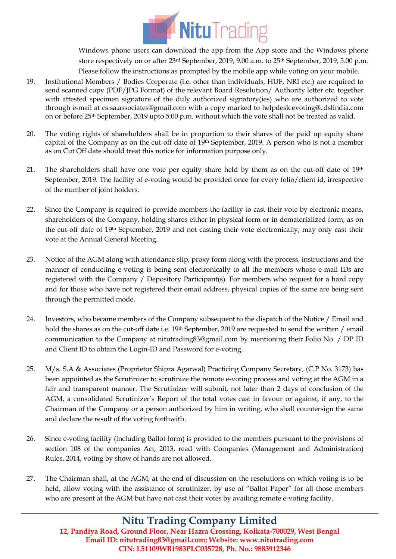

Windows phone users can download the app from the App store and the Windows phone store respectively on or after 23<sup>rd</sup> September, 2019, 9.00 a.m. to 25<sup>th</sup> September, 2019, 5.00 p.m. Please follow the instructions as prompted by the mobile app while voting on your mobile.

- 19. Institutional Members / Bodies Corporate (i.e. other than individuals, HUF, NRI etc.) are required to send scanned copy (PDF/JPG Format) of the relevant Board Resolution/ Authority letter etc. together with attested specimen signature of the duly authorized signatory(ies) who are authorized to vote through e-mail at cs.sa.associates@gmail.com with a copy marked to helpdesk.evoting@cdslindia.com on or before 25th September, 2019 upto 5:00 p.m. without which the vote shall not be treated as valid.
- 20. The voting rights of shareholders shall be in proportion to their shares of the paid up equity share capital of the Company as on the cut-off date of 19th September, 2019. A person who is not a member as on Cut Off date should treat this notice for information purpose only.
- 21. The shareholders shall have one vote per equity share held by them as on the cut-off date of 19th September, 2019. The facility of e-voting would be provided once for every folio/client id, irrespective of the number of joint holders.
- 22. Since the Company is required to provide members the facility to cast their vote by electronic means, shareholders of the Company, holding shares either in physical form or in dematerialized form, as on the cut-off date of 19th September, 2019 and not casting their vote electronically, may only cast their vote at the Annual General Meeting.
- 23. Notice of the AGM along with attendance slip, proxy form along with the process, instructions and the manner of conducting e-voting is being sent electronically to all the members whose e-mail IDs are registered with the Company / Depository Participant(s). For members who request for a hard copy and for those who have not registered their email address, physical copies of the same are being sent through the permitted mode.
- 24. Investors, who became members of the Company subsequent to the dispatch of the Notice / Email and hold the shares as on the cut-off date i.e. 19<sup>th</sup> September, 2019 are requested to send the written / email communication to the Company at nitutrading83@gmail.com by mentioning their Folio No. / DP ID and Client ID to obtain the Login-ID and Password for e-voting.
- 25. M/s. S.A & Associates (Proprietor Shipra Agarwal) Practicing Company Secretary, (C.P No. 3173) has been appointed as the Scrutinizer to scrutinize the remote e-voting process and voting at the AGM in a fair and transparent manner. The Scrutinizer will submit, not later than 2 days of conclusion of the AGM, a consolidated Scrutinizer's Report of the total votes cast in favour or against, if any, to the Chairman of the Company or a person authorized by him in writing, who shall countersign the same and declare the result of the voting forthwith.
- 26. Since e-voting facility (including Ballot form) is provided to the members pursuant to the provisions of section 108 of the companies Act, 2013, read with Companies (Management and Administration) Rules, 2014, voting by show of hands are not allowed.
- 27. The Chairman shall, at the AGM, at the end of discussion on the resolutions on which voting is to be held, allow voting with the assistance of scrutinizer, by use of "Ballot Paper" for all those members who are present at the AGM but have not cast their votes by availing remote e-voting facility.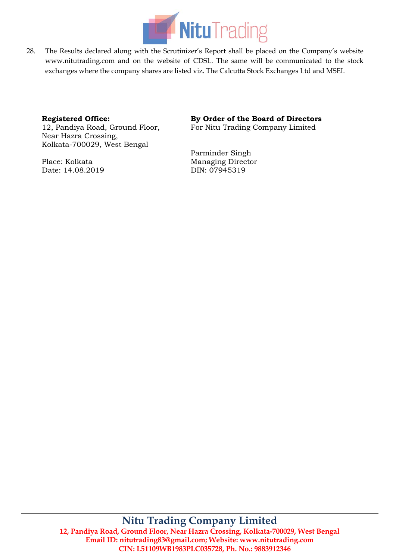

28. The Results declared along with the Scrutinizer's Report shall be placed on the Company's website www.nitutrading.com and on the website of CDSL. The same will be communicated to the stock exchanges where the company shares are listed viz. The Calcutta Stock Exchanges Ltd and MSEI.

### **Registered Office:**

12, Pandiya Road, Ground Floor, Near Hazra Crossing, Kolkata-700029, West Bengal

Place: Kolkata Date: 14.08.2019

### **By Order of the Board of Directors**

For Nitu Trading Company Limited

Parminder Singh Managing Director DIN: [07945319](http://www.mca.gov.in/mcafoportal/companyLLPMasterData.do)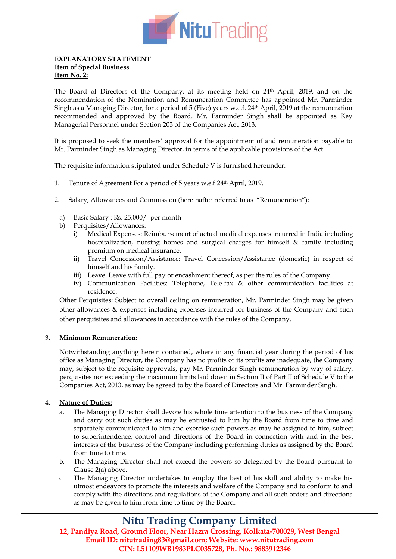

#### **EXPLANATORY STATEMENT Item of Special Business Item No. 2:**

The Board of Directors of the Company, at its meeting held on 24th April, 2019, and on the recommendation of the Nomination and Remuneration Committee has appointed Mr. Parminder Singh as a Managing Director, for a period of 5 (Five) years w.e.f. 24th April, 2019 at the remuneration recommended and approved by the Board. Mr. Parminder Singh shall be appointed as Key Managerial Personnel under Section 203 of the Companies Act, 2013.

It is proposed to seek the members' approval for the appointment of and remuneration payable to Mr. Parminder Singh as Managing Director, in terms of the applicable provisions of the Act.

The requisite information stipulated under Schedule V is furnished hereunder:

- 1. Tenure of Agreement For a period of 5 years w.e.f 24th April, 2019.
- 2. Salary, Allowances and Commission (hereinafter referred to as "Remuneration"):
	- a) Basic Salary : Rs. 25,000/- per month
	- b) Perquisites/Allowances:
		- i) Medical Expenses: Reimbursement of actual medical expenses incurred in India including hospitalization, nursing homes and surgical charges for himself & family including premium on medical insurance.
		- ii) Travel Concession/Assistance: Travel Concession/Assistance (domestic) in respect of himself and his family.
		- iii) Leave: Leave with full pay or encashment thereof, as per the rules of the Company.
		- iv) Communication Facilities: Telephone, Tele-fax & other communication facilities at residence.

Other Perquisites: Subject to overall ceiling on remuneration, Mr. Parminder Singh may be given other allowances & expenses including expenses incurred for business of the Company and such other perquisites and allowances in accordance with the rules of the Company.

#### 3. **Minimum Remuneration:**

Notwithstanding anything herein contained, where in any financial year during the period of his office as Managing Director, the Company has no profits or its profits are inadequate, the Company may, subject to the requisite approvals, pay Mr. Parminder Singh remuneration by way of salary, perquisites not exceeding the maximum limits laid down in Section II of Part II of Schedule V to the Companies Act, 2013, as may be agreed to by the Board of Directors and Mr. Parminder Singh.

### 4. **Nature of Duties:**

- a. The Managing Director shall devote his whole time attention to the business of the Company and carry out such duties as may be entrusted to him by the Board from time to time and separately communicated to him and exercise such powers as may be assigned to him, subject to superintendence, control and directions of the Board in connection with and in the best interests of the business of the Company including performing duties as assigned by the Board from time to time.
- b. The Managing Director shall not exceed the powers so delegated by the Board pursuant to Clause 2(a) above.
- c. The Managing Director undertakes to employ the best of his skill and ability to make his utmost endeavors to promote the interests and welfare of the Company and to conform to and comply with the directions and regulations of the Company and all such orders and directions as may be given to him from time to time by the Board.

# **Nitu Trading Company Limited**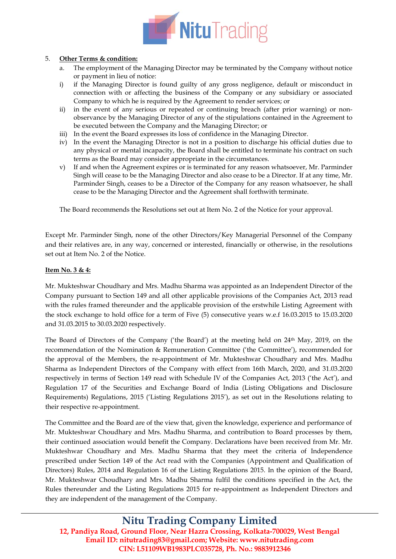

### 5. **Other Terms & condition:**

- a. The employment of the Managing Director may be terminated by the Company without notice or payment in lieu of notice:
- i) if the Managing Director is found guilty of any gross negligence, default or misconduct in connection with or affecting the business of the Company or any subsidiary or associated Company to which he is required by the Agreement to render services; or
- ii) in the event of any serious or repeated or continuing breach (after prior warning) or nonobservance by the Managing Director of any of the stipulations contained in the Agreement to be executed between the Company and the Managing Director; or
- iii) In the event the Board expresses its loss of confidence in the Managing Director.
- iv) In the event the Managing Director is not in a position to discharge his official duties due to any physical or mental incapacity, the Board shall be entitled to terminate his contract on such terms as the Board may consider appropriate in the circumstances.
- v) If and when the Agreement expires or is terminated for any reason whatsoever, Mr. Parminder Singh will cease to be the Managing Director and also cease to be a Director. If at any time, Mr. Parminder Singh, ceases to be a Director of the Company for any reason whatsoever, he shall cease to be the Managing Director and the Agreement shall forthwith terminate.

The Board recommends the Resolutions set out at Item No. 2 of the Notice for your approval.

Except Mr. Parminder Singh, none of the other Directors/Key Managerial Personnel of the Company and their relatives are, in any way, concerned or interested, financially or otherwise, in the resolutions set out at Item No. 2 of the Notice.

### **Item No. 3 & 4:**

Mr. Mukteshwar Choudhary and Mrs. Madhu Sharma was appointed as an Independent Director of the Company pursuant to Section 149 and all other applicable provisions of the Companies Act, 2013 read with the rules framed thereunder and the applicable provision of the erstwhile Listing Agreement with the stock exchange to hold office for a term of Five (5) consecutive years w.e.f 16.03.2015 to 15.03.2020 and 31.03.2015 to 30.03.2020 respectively.

The Board of Directors of the Company ('the Board') at the meeting held on 24th May, 2019, on the recommendation of the Nomination & Remuneration Committee ('the Committee'), recommended for the approval of the Members, the re-appointment of Mr. Mukteshwar Choudhary and Mrs. Madhu Sharma as Independent Directors of the Company with effect from 16th March, 2020, and 31.03.2020 respectively in terms of Section 149 read with Schedule IV of the Companies Act, 2013 ('the Act'), and Regulation 17 of the Securities and Exchange Board of India (Listing Obligations and Disclosure Requirements) Regulations, 2015 ('Listing Regulations 2015'), as set out in the Resolutions relating to their respective re-appointment.

The Committee and the Board are of the view that, given the knowledge, experience and performance of Mr. Mukteshwar Choudhary and Mrs. Madhu Sharma, and contribution to Board processes by them, their continued association would benefit the Company. Declarations have been received from Mr. Mr. Mukteshwar Choudhary and Mrs. Madhu Sharma that they meet the criteria of Independence prescribed under Section 149 of the Act read with the Companies (Appointment and Qualification of Directors) Rules, 2014 and Regulation 16 of the Listing Regulations 2015. In the opinion of the Board, Mr. Mukteshwar Choudhary and Mrs. Madhu Sharma fulfil the conditions specified in the Act, the Rules thereunder and the Listing Regulations 2015 for re-appointment as Independent Directors and they are independent of the management of the Company.

# **Nitu Trading Company Limited**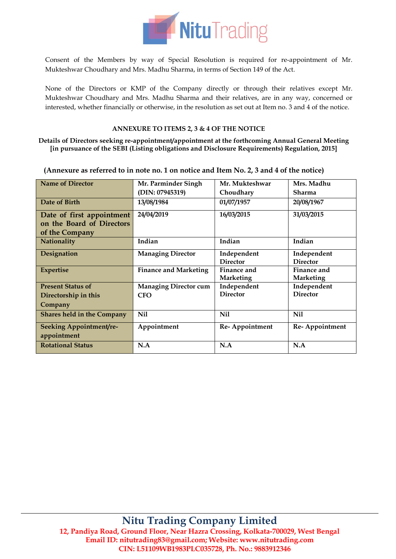

Consent of the Members by way of Special Resolution is required for re-appointment of Mr. Mukteshwar Choudhary and Mrs. Madhu Sharma, in terms of Section 149 of the Act.

None of the Directors or KMP of the Company directly or through their relatives except Mr. Mukteshwar Choudhary and Mrs. Madhu Sharma and their relatives, are in any way, concerned or interested, whether financially or otherwise, in the resolution as set out at Item no. 3 and 4 of the notice.

### **ANNEXURE TO ITEMS 2, 3 & 4 OF THE NOTICE**

**Details of Directors seeking re-appointment/appointment at the forthcoming Annual General Meeting [in pursuance of the SEBI (Listing obligations and Disclosure Requirements) Regulation, 2015]**

| <b>Name of Director</b>           | Mr. Parminder Singh          | Mr. Mukteshwar  | Mrs. Madhu       |
|-----------------------------------|------------------------------|-----------------|------------------|
|                                   | (DIN: 07945319)              | Choudhary       | Sharma           |
| Date of Birth                     | 13/08/1984                   | 01/07/1957      | 20/08/1967       |
| Date of first appointment         | 24/04/2019                   | 16/03/2015      | 31/03/2015       |
| on the Board of Directors         |                              |                 |                  |
| of the Company                    |                              |                 |                  |
| <b>Nationality</b>                | Indian                       | Indian          | Indian           |
| Designation                       | <b>Managing Director</b>     | Independent     | Independent      |
|                                   |                              | <b>Director</b> | <b>Director</b>  |
| <b>Expertise</b>                  | <b>Finance and Marketing</b> | Finance and     | Finance and      |
|                                   |                              | Marketing       | <b>Marketing</b> |
| <b>Present Status of</b>          | <b>Managing Director cum</b> | Independent     | Independent      |
| Directorship in this              | <b>CFO</b>                   | <b>Director</b> | <b>Director</b>  |
| Company                           |                              |                 |                  |
| <b>Shares held in the Company</b> | Nil                          | Nil             | Nil              |
| <b>Seeking Appointment/re-</b>    | Appointment                  | Re-Appointment  | Re-Appointment   |
| appointment                       |                              |                 |                  |
| <b>Rotational Status</b>          | N.A                          | N.A             | N.A              |
|                                   |                              |                 |                  |

**(Annexure as referred to in note no. 1 on notice and Item No. 2, 3 and 4 of the notice)**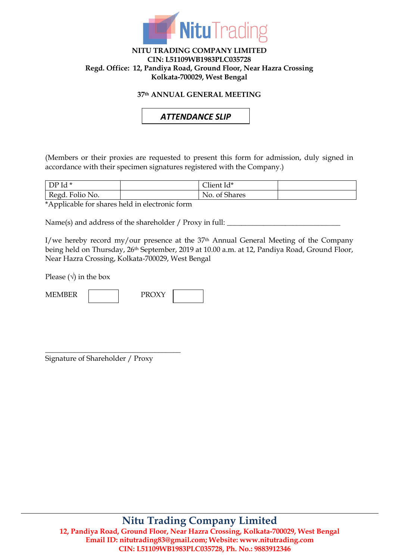

### **NITU TRADING COMPANY LIMITED CIN: L51109WB1983PLC035728 Regd. Office: 12, Pandiya Road, Ground Floor, Near Hazra Crossing Kolkata-700029, West Bengal**

## **37th ANNUAL GENERAL MEETING**

# *ATTENDANCE SLIP*

(Members or their proxies are requested to present this form for admission, duly signed in accordance with their specimen signatures registered with the Company.)

| $Id$ *<br>DP    | <del>. .</del><br>lient Id*          |  |
|-----------------|--------------------------------------|--|
| Regd. Folio No. | $\sim$<br>No.<br><b>Shares</b><br>Of |  |

\*Applicable for shares held in electronic form

Name(s) and address of the shareholder / Proxy in full:

I/we hereby record my/our presence at the  $37<sup>th</sup>$  Annual General Meeting of the Company being held on Thursday, 26th September, 2019 at 10.00 a.m. at 12, Pandiya Road, Ground Floor, Near Hazra Crossing, Kolkata-700029, West Bengal

Please  $(\sqrt{})$  in the box

| EM IDED.<br>$\bf M$ |  | <b>DDOVV</b> |  |  |
|---------------------|--|--------------|--|--|
|---------------------|--|--------------|--|--|

Signature of Shareholder / Proxy

\_\_\_\_\_\_\_\_\_\_\_\_\_\_\_\_\_\_\_\_\_\_\_\_\_\_\_\_\_\_\_\_\_\_\_\_\_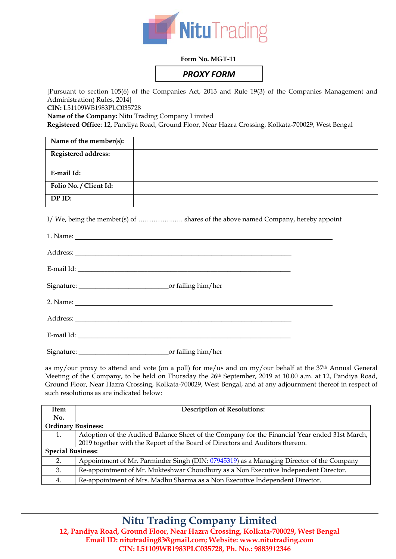

### **Form No. MGT-11**

# *PROXY FORM*

[Pursuant to section 105(6) of the Companies Act, 2013 and Rule 19(3) of the Companies Management and Administration) Rules, 2014]

**CIN:** L51109WB1983PLC035728

**Name of the Company:** Nitu Trading Company Limited

**Registered Office**: 12, Pandiya Road, Ground Floor, Near Hazra Crossing, Kolkata-700029, West Bengal

| Name of the member(s):     |  |
|----------------------------|--|
| <b>Registered address:</b> |  |
| E-mail Id:                 |  |
| Folio No. / Client Id:     |  |
| DP ID:                     |  |

I/ We, being the member(s) of ........................... shares of the above named Company, hereby appoint

as my/our proxy to attend and vote (on a poll) for me/us and on my/our behalf at the 37<sup>th</sup> Annual General Meeting of the Company, to be held on Thursday the 26<sup>th</sup> September, 2019 at 10.00 a.m. at 12, Pandiya Road, Ground Floor, Near Hazra Crossing, Kolkata-700029, West Bengal, and at any adjournment thereof in respect of such resolutions as are indicated below:

| <b>Item</b>               | <b>Description of Resolutions:</b>                                                            |  |
|---------------------------|-----------------------------------------------------------------------------------------------|--|
| No.                       |                                                                                               |  |
| <b>Ordinary Business:</b> |                                                                                               |  |
| 1.                        | Adoption of the Audited Balance Sheet of the Company for the Financial Year ended 31st March, |  |
|                           | 2019 together with the Report of the Board of Directors and Auditors thereon.                 |  |
| <b>Special Business:</b>  |                                                                                               |  |
| 2.                        | Appointment of Mr. Parminder Singh (DIN: 07945319) as a Managing Director of the Company      |  |
| 3.                        | Re-appointment of Mr. Mukteshwar Choudhury as a Non Executive Independent Director.           |  |
| 4.                        | Re-appointment of Mrs. Madhu Sharma as a Non Executive Independent Director.                  |  |

# **Nitu Trading Company Limited**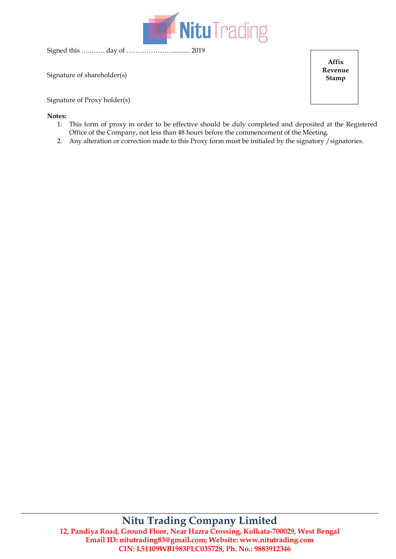

Signed this …..…… day of ………………….......... 2019

Signature of shareholder(s)

Signature of Proxy holder(s)

#### **Notes:**

- 1. This form of proxy in order to be effective should be duly completed and deposited at the Registered Office of the Company, not less than 48 hours before the commencement of the Meeting.
- 2. Any alteration or correction made to this Proxy form must be initialed by the signatory /signatories.

# **Nitu Trading Company Limited 12, Pandiya Road, Ground Floor, Near Hazra Crossing, Kolkata-700029, West Bengal Email ID[: nitutrading83@gmail.com;](mailto:NITUTRADING83@GMAIL.COM) Website: www.nitutrading.com CIN: L51109WB1983PLC035728, Ph. No.: 9883912346**

**Affix Revenue Stamp**